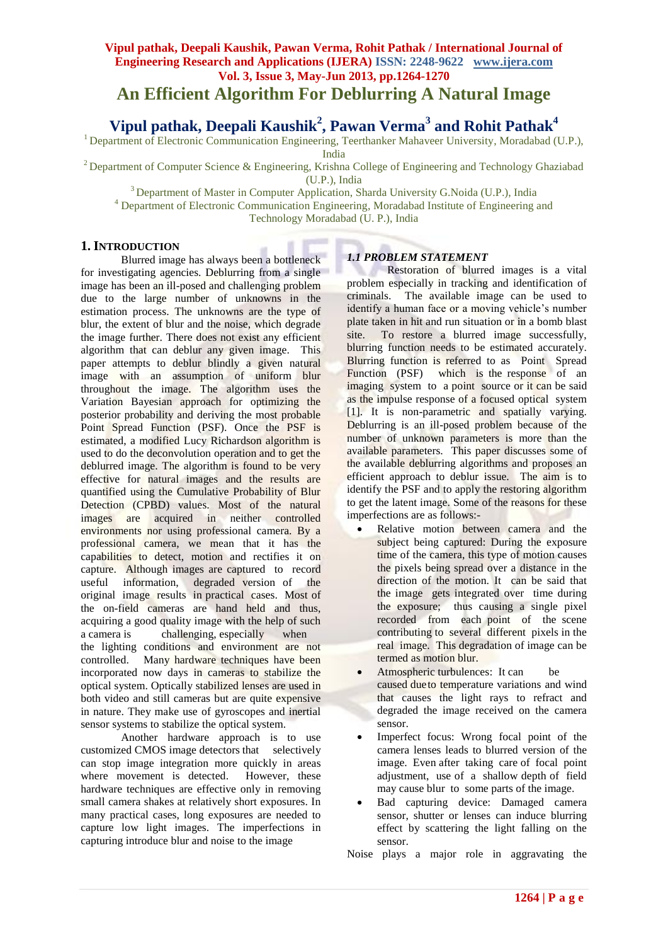# **Vipul pathak, Deepali Kaushik, Pawan Verma, Rohit Pathak / International Journal of Engineering Research and Applications (IJERA) ISSN: 2248-9622 www.ijera.com Vol. 3, Issue 3, May-Jun 2013, pp.1264-1270 An Efficient Algorithm For Deblurring A Natural Image**

**Vipul pathak, Deepali Kaushik<sup>2</sup> , Pawan Verma<sup>3</sup> and Rohit Pathak<sup>4</sup>**

<sup>1</sup> Department of Electronic Communication Engineering, Teerthanker Mahaveer University, Moradabad (U.P.), India

<sup>2</sup> Department of Computer Science & Engineering, Krishna College of Engineering and Technology Ghaziabad (U.P.), India

<sup>3</sup> Department of Master in Computer Application, Sharda University G.Noida (U.P.), India

<sup>4</sup> Department of Electronic Communication Engineering, Moradabad Institute of Engineering and

Technology Moradabad (U. P.), India

# **1. INTRODUCTION**

Blurred image has always been a bottleneck for investigating agencies. Deblurring from a single image has been an ill-posed and challenging problem due to the large number of unknowns in the estimation process. The unknowns are the type of blur, the extent of blur and the noise, which degrade the image further. There does not exist any efficient algorithm that can deblur any given image. This paper attempts to deblur blindly a given natural image with an assumption of uniform blur throughout the image. The algorithm uses the Variation Bayesian approach for optimizing the posterior probability and deriving the most probable Point Spread Function (PSF). Once the PSF is estimated, a modified Lucy Richardson algorithm is used to do the deconvolution operation and to get the deblurred image. The algorithm is found to be very effective for natural images and the results are quantified using the Cumulative Probability of Blur Detection (CPBD) values. Most of the natural images are acquired in neither controlled environments nor using professional camera. By a professional camera, we mean that it has the capabilities to detect, motion and rectifies it on capture. Although images are captured to record useful information, degraded version of the original image results in practical cases. Most of the on-field cameras are hand held and thus, acquiring a good quality image with the help of such a camera is challenging, especially when the lighting conditions and environment are not controlled. Many hardware techniques have been incorporated now days in cameras to stabilize the optical system. Optically stabilized lenses are used in both video and still cameras but are quite expensive in nature. They make use of gyroscopes and inertial sensor systems to stabilize the optical system.

Another hardware approach is to use customized CMOS image detectors that selectively can stop image integration more quickly in areas where movement is detected. However, these hardware techniques are effective only in removing small camera shakes at relatively short exposures. In many practical cases, long exposures are needed to capture low light images. The imperfections in capturing introduce blur and noise to the image

# *1.1 PROBLEM STATEMENT*

Restoration of blurred images is a vital problem especially in tracking and identification of criminals. The available image can be used to identify a human face or a moving vehicle's number plate taken in hit and run situation or in a bomb blast site. To restore a blurred image successfully, blurring function needs to be estimated accurately. Blurring function is referred to as Point Spread Function (PSF) which is the response of an imaging system to a point source or it can be said as the impulse response of a focused optical system [1]. It is non-parametric and spatially varying. Deblurring is an ill-posed problem because of the number of unknown parameters is more than the available parameters. This paper discusses some of the available deblurring algorithms and proposes an efficient approach to deblur issue. The aim is to identify the PSF and to apply the restoring algorithm to get the latent image. Some of the reasons for these imperfections are as follows:-

- Relative motion between camera and the subject being captured: During the exposure time of the camera, this type of motion causes the pixels being spread over a distance in the direction of the motion. It can be said that the image gets integrated over time during the exposure; thus causing a single pixel recorded from each point of the scene contributing to several different pixels in the real image. This degradation of image can be termed as motion blur.
- Atmospheric turbulences: It can be caused dueto temperature variations and wind that causes the light rays to refract and degraded the image received on the camera sensor.
- Imperfect focus: Wrong focal point of the camera lenses leads to blurred version of the image. Even after taking care of focal point adjustment, use of a shallow depth of field may cause blur to some parts of the image.
- Bad capturing device: Damaged camera sensor, shutter or lenses can induce blurring effect by scattering the light falling on the sensor.

Noise plays a major role in aggravating the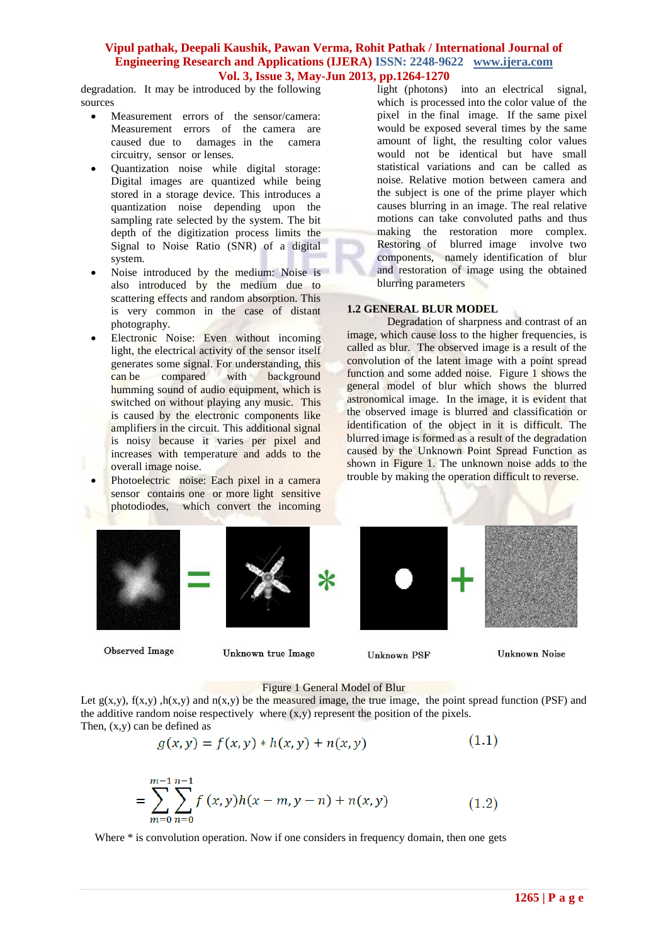degradation. It may be introduced by the following sources

- Measurement errors of the sensor/camera: Measurement errors of the camera are caused due to damages in the camera circuitry, sensor or lenses.
- Quantization noise while digital storage: Digital images are quantized while being stored in a storage device. This introduces a quantization noise depending upon the sampling rate selected by the system. The bit depth of the digitization process limits the Signal to Noise Ratio (SNR) of a digital system.
- Noise introduced by the medium: Noise is also introduced by the medium due to scattering effects and random absorption. This is very common in the case of distant photography.
- Electronic Noise: Even without incoming light, the electrical activity of the sensor itself generates some signal. For understanding, this<br>can be compared with background can be compared with background humming sound of audio equipment, which is switched on without playing any music. This is caused by the electronic components like amplifiers in the circuit. This additional signal is noisy because it varies per pixel and increases with temperature and adds to the overall image noise.
- Photoelectric noise: Each pixel in a camera sensor contains one or more light sensitive photodiodes, which convert the incoming

light (photons) into an electrical signal, which is processed into the color value of the pixel in the final image. If the same pixel would be exposed several times by the same amount of light, the resulting color values would not be identical but have small statistical variations and can be called as noise. Relative motion between camera and the subject is one of the prime player which causes blurring in an image. The real relative motions can take convoluted paths and thus making the restoration more complex. Restoring of blurred image involve two components, namely identification of blur and restoration of image using the obtained blurring parameters

### **1.2 GENERAL BLUR MODEL**

Degradation of sharpness and contrast of an image, which cause loss to the higher frequencies, is called as blur. The observed image is a result of the convolution of the latent image with a point spread function and some added noise. Figure 1 shows the general model of blur which shows the blurred astronomical image. In the image, it is evident that the observed image is blurred and classification or identification of the object in it is difficult. The blurred image is formed as a result of the degradation caused by the Unknown Point Spread Function as shown in Figure 1. The unknown noise adds to the trouble by making the operation difficult to reverse.

**Observed Image** 



Unknown true Image

**Unknown PSF** 

**Unknown Noise** 

#### Figure 1 General Model of Blur

Let  $g(x,y)$ ,  $f(x,y)$ ,  $h(x,y)$  and  $n(x,y)$  be the measured image, the true image, the point spread function (PSF) and the additive random noise respectively where  $(x, y)$  represent the position of the pixels. Then,  $(x,y)$  can be defined as

$$
g(x, y) = f(x, y) * h(x, y) + n(x, y)
$$
\n(1.1)

$$
= \sum_{m=0}^{m-1} \sum_{n=0}^{n-1} f(x, y)h(x - m, y - n) + n(x, y)
$$
 (1.2)

Where \* is convolution operation. Now if one considers in frequency domain, then one gets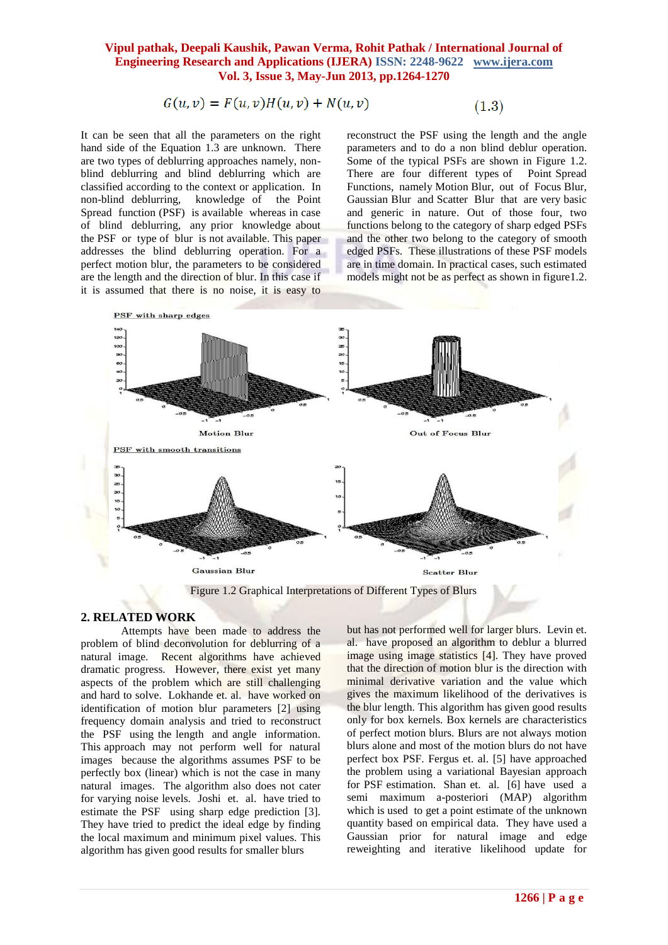$$
G(u, v) = F(u, v)H(u, v) + N(u, v)
$$

$$
(1.3)
$$

It can be seen that all the parameters on the right hand side of the Equation 1.3 are unknown. There are two types of deblurring approaches namely, nonblind deblurring and blind deblurring which are classified according to the context or application. In non-blind deblurring, knowledge of the Point Spread function (PSF) is available whereas in case of blind deblurring, any prior knowledge about the PSF or type of blur is not available. This paper addresses the blind deblurring operation. For a perfect motion blur, the parameters to be considered are the length and the direction of blur. In this case if it is assumed that there is no noise, it is easy to

reconstruct the PSF using the length and the angle parameters and to do a non blind deblur operation. Some of the typical PSFs are shown in Figure 1.2. There are four different types of Point Spread Functions, namely Motion Blur, out of Focus Blur, Gaussian Blur and Scatter Blur that are very basic and generic in nature. Out of those four, two functions belong to the category of sharp edged PSFs and the other two belong to the category of smooth edged PSFs. These illustrations of these PSF models are in time domain. In practical cases, such estimated models might not be as perfect as shown in figure 1.2.



Figure 1.2 Graphical Interpretations of Different Types of Blurs

# **2. RELATED WORK**

Attempts have been made to address the problem of blind deconvolution for deblurring of a natural image. Recent algorithms have achieved dramatic progress. However, there exist yet many aspects of the problem which are still challenging and hard to solve. Lokhande et. al. have worked on identification of motion blur parameters [2] using frequency domain analysis and tried to reconstruct the PSF using the length and angle information. This approach may not perform well for natural images because the algorithms assumes PSF to be perfectly box (linear) which is not the case in many natural images. The algorithm also does not cater for varying noise levels. Joshi et. al. have tried to estimate the PSF using sharp edge prediction [3]. They have tried to predict the ideal edge by finding the local maximum and minimum pixel values. This algorithm has given good results for smaller blurs

but has not performed well for larger blurs. Levin et. al. have proposed an algorithm to deblur a blurred image using image statistics [4]. They have proved that the direction of motion blur is the direction with minimal derivative variation and the value which gives the maximum likelihood of the derivatives is the blur length. This algorithm has given good results only for box kernels. Box kernels are characteristics of perfect motion blurs. Blurs are not always motion blurs alone and most of the motion blurs do not have perfect box PSF. Fergus et. al. [5] have approached the problem using a variational Bayesian approach for PSF estimation. Shan et. al. [6] have used a semi maximum a-posteriori (MAP) algorithm which is used to get a point estimate of the unknown quantity based on empirical data. They have used a Gaussian prior for natural image and edge reweighting and iterative likelihood update for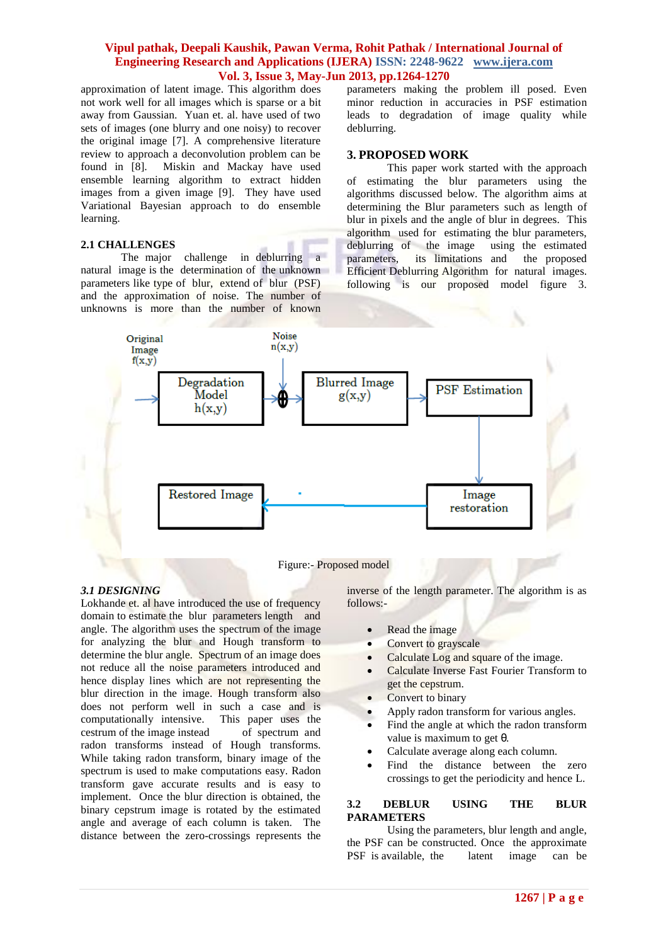approximation of latent image. This algorithm does not work well for all images which is sparse or a bit away from Gaussian. Yuan et. al. have used of two sets of images (one blurry and one noisy) to recover the original image [7]. A comprehensive literature review to approach a deconvolution problem can be found in [8]. Miskin and Mackay have used ensemble learning algorithm to extract hidden images from a given image [9]. They have used Variational Bayesian approach to do ensemble learning.

#### **2.1 CHALLENGES**

The major challenge in deblurring a natural image is the determination of the unknown parameters like type of blur, extend of blur (PSF) and the approximation of noise. The number of unknowns is more than the number of known

parameters making the problem ill posed. Even minor reduction in accuracies in PSF estimation leads to degradation of image quality while deblurring.

#### **3. PROPOSED WORK**

This paper work started with the approach of estimating the blur parameters using the algorithms discussed below. The algorithm aims at determining the Blur parameters such as length of blur in pixels and the angle of blur in degrees. This algorithm used for estimating the blur parameters, deblurring of the image using the estimated parameters, its limitations and the proposed Efficient Deblurring Algorithm for natural images. following is our proposed model figure 3.



#### Figure:- Proposed model

#### *3.1 DESIGNING*

Lokhande et. al have introduced the use of frequency domain to estimate the blur parameters length and angle. The algorithm uses the spectrum of the image for analyzing the blur and Hough transform to determine the blur angle. Spectrum of an image does not reduce all the noise parameters introduced and hence display lines which are not representing the blur direction in the image. Hough transform also does not perform well in such a case and is computationally intensive. This paper uses the cestrum of the image instead of spectrum and radon transforms instead of Hough transforms. While taking radon transform, binary image of the spectrum is used to make computations easy. Radon transform gave accurate results and is easy to implement. Once the blur direction is obtained, the binary cepstrum image is rotated by the estimated angle and average of each column is taken. The distance between the zero-crossings represents the

inverse of the length parameter. The algorithm is as follows:-

- Read the image
- Convert to grayscale
- Calculate Log and square of the image.
- Calculate Inverse Fast Fourier Transform to get the cepstrum.
- Convert to binary
- Apply radon transform for various angles.
- Find the angle at which the radon transform value is maximum to get θ.
- Calculate average along each column.
- Find the distance between the zero crossings to get the periodicity and hence L.

#### **3.2 DEBLUR USING THE BLUR PARAMETERS**

Using the parameters, blur length and angle, the PSF can be constructed. Once the approximate PSF is available, the latent image can be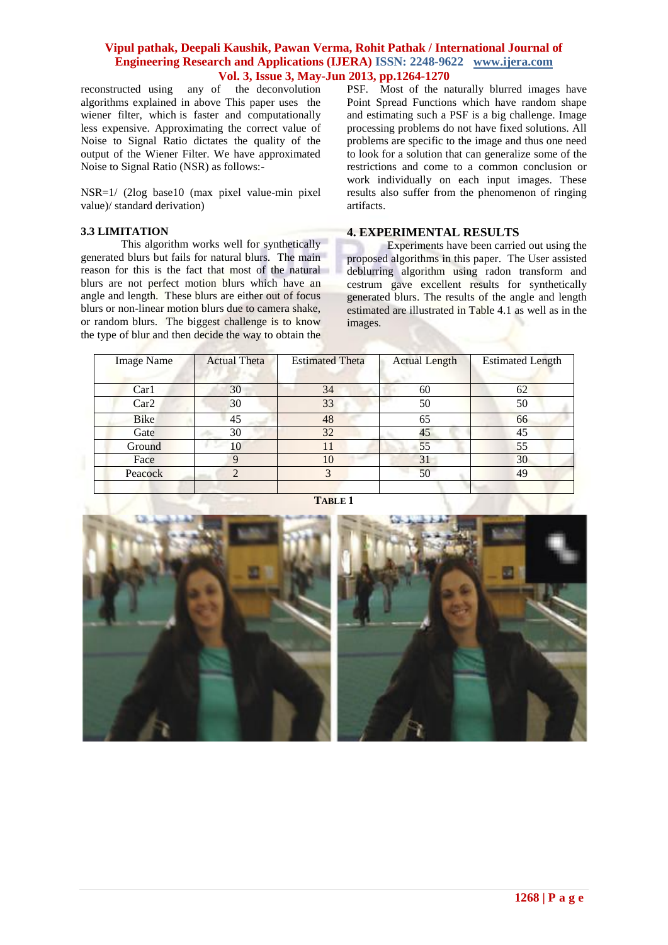reconstructed using any of the deconvolution algorithms explained in above This paper uses the wiener filter, which is faster and computationally less expensive. Approximating the correct value of Noise to Signal Ratio dictates the quality of the output of the Wiener Filter. We have approximated Noise to Signal Ratio (NSR) as follows:-

NSR=1/ (2log base10 (max pixel value-min pixel value)/ standard derivation)

#### **3.3 LIMITATION**

This algorithm works well for synthetically generated blurs but fails for natural blurs. The main reason for this is the fact that most of the natural blurs are not perfect motion blurs which have an angle and length. These blurs are either out of focus blurs or non-linear motion blurs due to camera shake, or random blurs. The biggest challenge is to know the type of blur and then decide the way to obtain the

PSF. Most of the naturally blurred images have Point Spread Functions which have random shape and estimating such a PSF is a big challenge. Image processing problems do not have fixed solutions. All problems are specific to the image and thus one need to look for a solution that can generalize some of the restrictions and come to a common conclusion or work individually on each input images. These results also suffer from the phenomenon of ringing artifacts.

#### **4. EXPERIMENTAL RESULTS**

Experiments have been carried out using the proposed algorithms in this paper. The User assisted deblurring algorithm using radon transform and cestrum gave excellent results for synthetically generated blurs. The results of the angle and length estimated are illustrated in Table 4.1 as well as in the images.

| <b>Image Name</b> | <b>Actual Theta</b> | <b>Estimated Theta</b> | <b>Actual Length</b> | <b>Estimated Length</b> |
|-------------------|---------------------|------------------------|----------------------|-------------------------|
|                   |                     |                        |                      |                         |
| Car1              | 30                  | 34                     | 60                   | 62                      |
| Car2              | 30                  | 33                     | 50                   | 50                      |
| <b>Bike</b>       | 45                  | 48                     | 65                   | 66                      |
| Gate              | 30                  | 32                     | 45                   | 45                      |
| Ground            | 10                  | 11                     | 55                   | 55                      |
| Face              | 9                   | 10                     | 31                   | 30                      |
| Peacock           | 2                   |                        | 50                   | 49                      |
|                   |                     |                        |                      |                         |



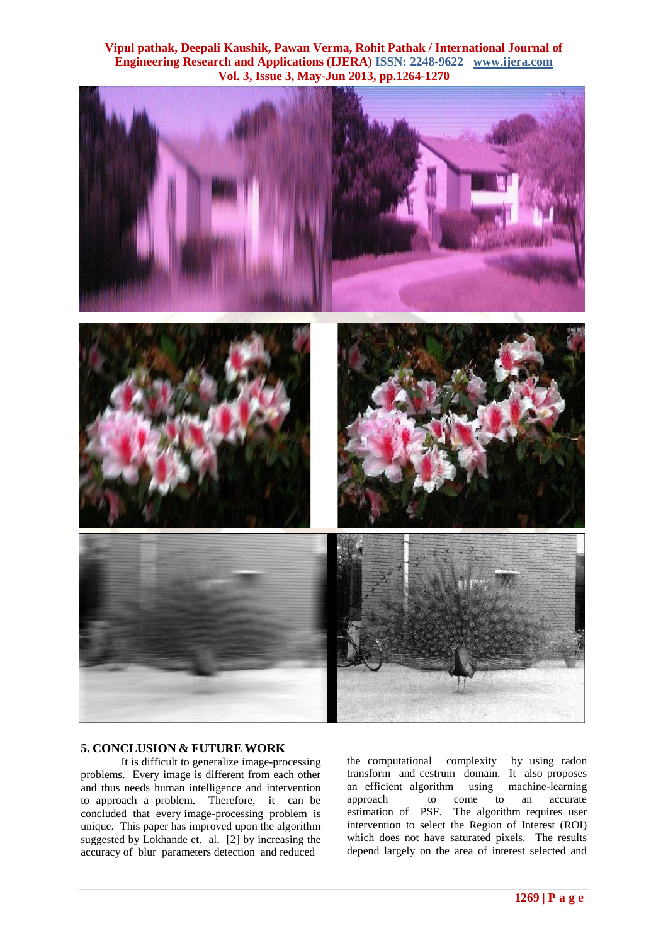



#### **5. CONCLUSION & FUTURE WORK**

It is difficult to generalize image-processing problems. Every image is different from each other and thus needs human intelligence and intervention to approach a problem. Therefore, it can be concluded that every image-processing problem is unique. This paper has improved upon the algorithm suggested by Lokhande et. al. [2] by increasing the accuracy of blur parameters detection and reduced

the computational complexity by using radon transform and cestrum domain. It also proposes an efficient algorithm using machine-learning approach to come to an accurate estimation of PSF. The algorithm requires user intervention to select the Region of Interest (ROI) which does not have saturated pixels. The results depend largely on the area of interest selected and